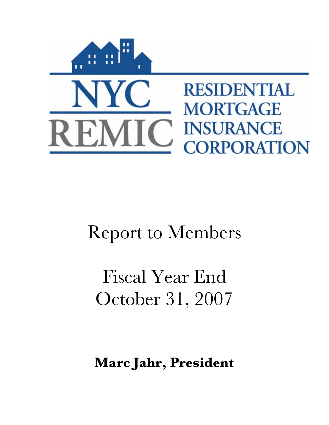

# Report to Members

Fiscal Year End October 31, 2007

**Marc Jahr, President**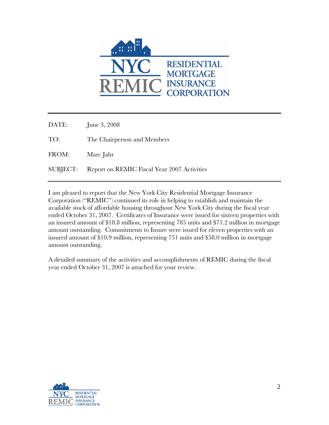

DATE: June 3, 2008 TO: The Chairperson and Members FROM: Marc Jahr SUBJECT: Report on REMIC Fiscal Year 2007 Activities

I am pleased to report that the New York City Residential Mortgage Insurance Corporation ("REMIC") continued its role in helping to establish and maintain the available stock of affordable housing throughout New York City during the fiscal year ended October 31, 2007. Certificates of Insurance were issued for sixteen properties with an insured amount of \$18.8 million, representing 785 units and \$71.2 million in mortgage amount outstanding. Commitments to Insure were issued for eleven properties with an insured amount of \$10.9 million, representing 751 units and \$58.0 million in mortgage amount outstanding.

A detailed summary of the activities and accomplishments of REMIC during the fiscal year ended October 31, 2007 is attached for your review.

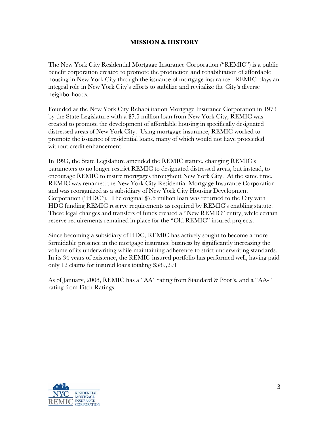## **MISSION & HISTORY**

The New York City Residential Mortgage Insurance Corporation ("REMIC") is a public benefit corporation created to promote the production and rehabilitation of affordable housing in New York City through the issuance of mortgage insurance. REMIC plays an integral role in New York City's efforts to stabilize and revitalize the City's diverse neighborhoods.

Founded as the New York City Rehabilitation Mortgage Insurance Corporation in 1973 by the State Legislature with a \$7.5 million loan from New York City, REMIC was created to promote the development of affordable housing in specifically designated distressed areas of New York City. Using mortgage insurance, REMIC worked to promote the issuance of residential loans, many of which would not have proceeded without credit enhancement.

In 1993, the State Legislature amended the REMIC statute, changing REMIC's parameters to no longer restrict REMIC to designated distressed areas, but instead, to encourage REMIC to insure mortgages throughout New York City. At the same time, REMIC was renamed the New York City Residential Mortgage Insurance Corporation and was reorganized as a subsidiary of New York City Housing Development Corporation ("HDC"). The original \$7.5 million loan was returned to the City with HDC funding REMIC reserve requirements as required by REMIC's enabling statute. These legal changes and transfers of funds created a "New REMIC" entity, while certain reserve requirements remained in place for the "Old REMIC" insured projects.

Since becoming a subsidiary of HDC, REMIC has actively sought to become a more formidable presence in the mortgage insurance business by significantly increasing the volume of its underwriting while maintaining adherence to strict underwriting standards. In its 34 years of existence, the REMIC insured portfolio has performed well, having paid only 12 claims for insured loans totaling \$589,291

As of January, 2008, REMIC has a "AA" rating from Standard & Poor's, and a "AA-" rating from Fitch Ratings.

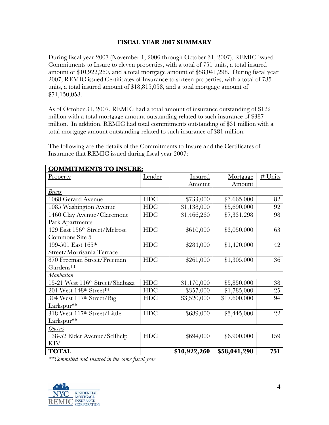## **FISCAL YEAR 2007 SUMMARY**

During fiscal year 2007 (November 1, 2006 through October 31, 2007), REMIC issued Commitments to Insure to eleven properties, with a total of 751 units, a total insured amount of \$10,922,260, and a total mortgage amount of \$58,041,298. During fiscal year 2007, REMIC issued Certificates of Insurance to sixteen properties, with a total of 785 units, a total insured amount of \$18,815,058, and a total mortgage amount of \$71,150,058.

As of October 31, 2007, REMIC had a total amount of insurance outstanding of \$122 million with a total mortgage amount outstanding related to such insurance of \$387 million. In addition, REMIC had total commitments outstanding of \$31 million with a total mortgage amount outstanding related to such insurance of \$81 million.

| <b>COMMITMENTS TO INSURE:</b>   |               |                |              |           |  |
|---------------------------------|---------------|----------------|--------------|-----------|--|
| <b>Property</b>                 | <u>Lender</u> | <b>Insured</b> | Mortgage     | $#$ Units |  |
|                                 |               | Amount         | Amount       |           |  |
| <u>Bronx</u>                    |               |                |              |           |  |
| 1068 Gerard Avenue              | <b>HDC</b>    | \$733,000      | \$3,665,000  | 82        |  |
| 1085 Washington Avenue          | <b>HDC</b>    | \$1,138,000    | \$5,690,000  | 92        |  |
| 1460 Clay Avenue/Claremont      | <b>HDC</b>    | \$1,466,260    | \$7,331,298  | 98        |  |
| Park Apartments                 |               |                |              |           |  |
| 429 East 156th Street/Melrose   | <b>HDC</b>    | \$610,000      | \$3,050,000  | 63        |  |
| Commons Site 5                  |               |                |              |           |  |
| 499-501 East 165th              | <b>HDC</b>    | \$284,000      | \$1,420,000  | 42        |  |
| Street/Morrisania Terrace       |               |                |              |           |  |
| 870 Freeman Street/Freeman      | <b>HDC</b>    | \$261,000      | \$1,305,000  | 36        |  |
| Gardens**                       |               |                |              |           |  |
| Manhattan                       |               |                |              |           |  |
| 15-21 West 116th Street/Shabazz | <b>HDC</b>    | \$1,170,000    | \$5,850,000  | 38        |  |
| 201 West 148th Street**         | <b>HDC</b>    | \$357,000      | \$1,785,000  | 25        |  |
| 304 West 117th Street/Big       | <b>HDC</b>    | \$3,520,000    | \$17,600,000 | 94        |  |
| Larkspur**                      |               |                |              |           |  |
| 318 West 117th Street/Little    | <b>HDC</b>    | \$689,000      | \$3,445,000  | 22        |  |
| Larkspur**                      |               |                |              |           |  |
| <i><u><b>Oueens</b></u></i>     |               |                |              |           |  |
| 138-52 Elder Avenue/Selfhelp    | <b>HDC</b>    | \$694,000      | \$6,900,000  | 159       |  |
| <b>KIV</b>                      |               |                |              |           |  |
| <b>TOTAL</b>                    |               | \$10,922,260   | \$58,041,298 | 751       |  |

The following are the details of the Commitments to Insure and the Certificates of Insurance that REMIC issued during fiscal year 2007:

*\*\*Committed and Insured in the same fiscal year*

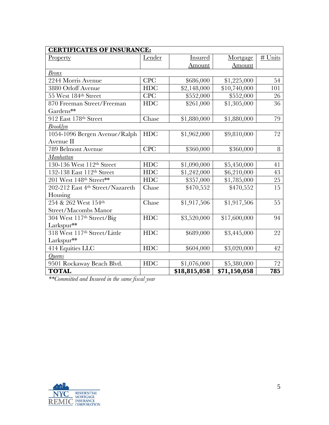| <b>CERTIFICATES OF INSURANCE:</b> |            |              |              |         |
|-----------------------------------|------------|--------------|--------------|---------|
| <b>Property</b>                   | Lender     | Insured      | Mortgage     | # Units |
|                                   |            | Amount       | Amount       |         |
| <b>Bronx</b>                      |            |              |              |         |
| 2244 Morris Avenue                | <b>CPC</b> | \$686,000    | \$1,225,000  | 54      |
| 3880 Orloff Avenue                | <b>HDC</b> | \$2,148,000  | \$10,740,000 | 101     |
| 55 West 184th Street              | <b>CPC</b> | \$552,000    | \$552,000    | 26      |
| 870 Freeman Street/Freeman        | <b>HDC</b> | \$261,000    | \$1,305,000  | 36      |
| Gardens**                         |            |              |              |         |
| 912 East 178th Street             | Chase      | \$1,880,000  | \$1,880,000  | 79      |
| <b>Brooklyn</b>                   |            |              |              |         |
| 1054-1096 Bergen Avenue/Ralph     | <b>HDC</b> | \$1,962,000  | \$9,810,000  | 72      |
| Avenue II                         |            |              |              |         |
| 789 Belmont Avenue                | <b>CPC</b> | \$360,000    | \$360,000    | 8       |
| Manhattan                         |            |              |              |         |
| 130-136 West 112th Street         | <b>HDC</b> | \$1,090,000  | \$5,450,000  | 41      |
| 132-138 East 112th Street         | <b>HDC</b> | \$1,242,000  | \$6,210,000  | 43      |
| 201 West 148th Street**           | <b>HDC</b> | \$357,000    | \$1,785,000  | $25\,$  |
| 202-212 East 4th Street/Nazareth  | Chase      | \$470,552    | \$470,552    | 15      |
| Housing                           |            |              |              |         |
| 254 & 262 West 154th              | Chase      | \$1,917,506  | \$1,917,506  | 55      |
| Street/Macombs Manor              |            |              |              |         |
| 304 West 117th Street/Big         | <b>HDC</b> | \$3,520,000  | \$17,600,000 | 94      |
| Larkspur**                        |            |              |              |         |
| 318 West 117th Street/Little      | <b>HDC</b> | \$689,000    | \$3,445,000  | 22      |
| Larkspur**                        |            |              |              |         |
| 414 Equities LLC                  | <b>HDC</b> | \$604,000    | \$3,020,000  | 42      |
| <b>Oueens</b>                     |            |              |              |         |
| 9501 Rockaway Beach Blvd.         | <b>HDC</b> | \$1,076,000  | \$5,380,000  | 72      |
| <b>TOTAL</b>                      |            | \$18,815,058 | \$71,150,058 | 785     |

*\*\*Committed and Insured in the same fiscal year*

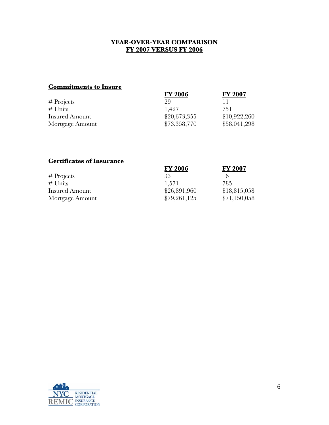## **YEAR-OVER-YEAR COMPARISON FY 2007 VERSUS FY 2006**

# **Commitments to Insure**

| <b>FY 2006</b> | <b>FY 2007</b> |
|----------------|----------------|
| 29             |                |
| 1,427          | 751            |
| \$20,673,355   | \$10,922,260   |
| \$73,358,770   | \$58,041,298   |
|                |                |

# **Certificates of Insurance**

|                       | <b>FY 2006</b> | <b>FY 2007</b> |
|-----------------------|----------------|----------------|
| $#$ Projects          | 33             | 16             |
| $#$ Units             | 1.571          | 785            |
| <b>Insured Amount</b> | \$26,891,960   | \$18,815,058   |
| Mortgage Amount       | \$79,261,125   | \$71,150,058   |

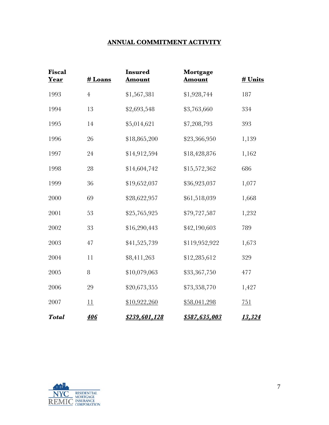# **ANNUAL COMMITMENT ACTIVITY**

| <b>Fiscal</b><br>Year | # Loans        | <b>Insured</b><br><b>Amount</b> | Mortgage<br><b>Amount</b> | # Units       |
|-----------------------|----------------|---------------------------------|---------------------------|---------------|
| 1993                  | $\overline{4}$ | \$1,567,381                     | \$1,928,744               | 187           |
| 1994                  | 13             | \$2,693,548                     | \$3,763,660               | 334           |
| 1995                  | 14             | \$5,014,621                     | \$7,208,793               | 393           |
| 1996                  | 26             | \$18,865,200                    | \$23,366,950              | 1,139         |
| 1997                  | 24             | \$14,912,594                    | \$18,428,876              | 1,162         |
| 1998                  | 28             | \$14,604,742                    | \$15,572,362              | 686           |
| 1999                  | 36             | \$19,652,037                    | \$36,923,037              | 1,077         |
| 2000                  | 69             | \$28,622,957                    | \$61,518,039              | 1,668         |
| 2001                  | 53             | \$25,765,925                    | \$79,727,587              | 1,232         |
| 2002                  | 33             | \$16,290,443                    | \$42,190,603              | 789           |
| 2003                  | 47             | \$41,525,739                    | \$119,952,922             | 1,673         |
| 2004                  | 11             | \$8,411,263                     | \$12,285,612              | 329           |
| 2005                  | 8              | \$10,079,063                    | \$33,367,750              | 477           |
| 2006                  | 29             | \$20,673,355                    | \$73,358,770              | 1,427         |
| 2007                  | 11             | \$10,922,260                    | \$58,041,298              | 751           |
| <b>Total</b>          | <b>406</b>     | <u>\$239,601,128</u>            | <u>\$587,635,003</u>      | <u>13,324</u> |

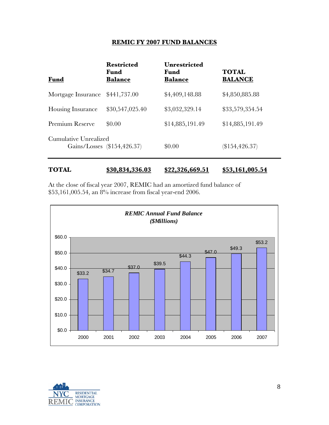## **REMIC FY 2007 FUND BALANCES**

| <b>Fund</b>              | <b>Restricted</b><br>Fund<br><b>Balance</b> | <b>Unrestricted</b><br>Fund<br><b>Balance</b> | <b>TOTAL</b><br><b>BALANCE</b> |
|--------------------------|---------------------------------------------|-----------------------------------------------|--------------------------------|
| Mortgage Insurance       | \$441,737.00                                | \$4,409,148.88                                | \$4,850,885.88                 |
| <b>Housing Insurance</b> | \$30,547,025.40                             | \$3,032,329.14                                | \$33,579,354.54                |
| Premium Reserve          | \$0.00                                      | \$14,885,191.49                               | \$14,885,191.49                |
| Cumulative Unrealized    | Gains/Losses (\$154,426.37)                 | \$0.00                                        | (\$154,426.37)                 |

## **TOTAL \$30,834,336.03 \$22,326,669.51 \$53,161,005.54**

At the close of fiscal year 2007, REMIC had an amortized fund balance of \$53,161,005.54, an 8% increase from fiscal year-end 2006.



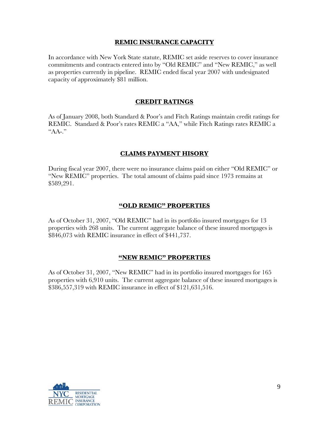## **REMIC INSURANCE CAPACITY**

In accordance with New York State statute, REMIC set aside reserves to cover insurance commitments and contracts entered into by "Old REMIC" and "New REMIC," as well as properties currently in pipeline. REMIC ended fiscal year 2007 with undesignated capacity of approximately \$81 million.

## **CREDIT RATINGS**

As of January 2008, both Standard & Poor's and Fitch Ratings maintain credit ratings for REMIC. Standard & Poor's rates REMIC a "AA," while Fitch Ratings rates REMIC a "AA-."

## **CLAIMS PAYMENT HISORY**

During fiscal year 2007, there were no insurance claims paid on either "Old REMIC" or "New REMIC" properties. The total amount of claims paid since 1973 remains at \$589,291.

## **"OLD REMIC" PROPERTIES**

As of October 31, 2007, "Old REMIC" had in its portfolio insured mortgages for 13 properties with 268 units. The current aggregate balance of these insured mortgages is \$846,073 with REMIC insurance in effect of \$441,737.

#### **"NEW REMIC" PROPERTIES**

As of October 31, 2007, "New REMIC" had in its portfolio insured mortgages for 165 properties with 6,910 units. The current aggregate balance of these insured mortgages is \$386,557,319 with REMIC insurance in effect of \$121,631,516.

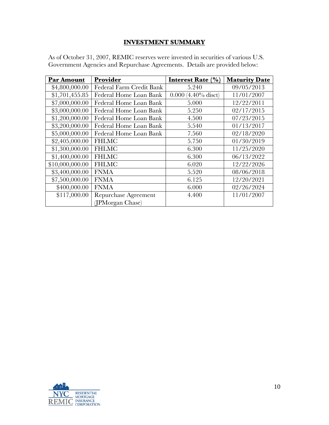# **INVESTMENT SUMMARY**

| Par Amount      | Provider                 | Interest Rate $(\% )$            | <b>Maturity Date</b> |
|-----------------|--------------------------|----------------------------------|----------------------|
| \$4,800,000.00  | Federal Farm Credit Bank | 5.240                            | 09/05/2013           |
| \$1,701,455.85  | Federal Home Loan Bank   | $(4.40\% \text{ dist})$<br>0.000 | 11/01/2007           |
| \$7,000,000.00  | Federal Home Loan Bank   | 5.000                            | 12/22/2011           |
| \$3,000,000.00  | Federal Home Loan Bank   | 5.250                            | 02/17/2015           |
| \$1,200,000.00  | Federal Home Loan Bank   | 4.500                            | 07/23/2015           |
| \$3,200,000.00  | Federal Home Loan Bank   | 5.540                            | 01/13/2017           |
| \$5,000,000.00  | Federal Home Loan Bank   | 7.560                            | 02/18/2020           |
| \$2,405,000.00  | <b>FHLMC</b>             | 5.750                            | 01/30/2019           |
| \$1,300,000.00  | <b>FHLMC</b>             | 6.300                            | 11/25/2020           |
| \$1,400,000.00  | <b>FHLMC</b>             | 6.300                            | 06/13/2022           |
| \$10,000,000.00 | <b>FHLMC</b>             | 6.020                            | 12/22/2026           |
| \$3,400,000.00  | <b>FNMA</b>              | 5.520                            | 08/06/2018           |
| \$7,500,000.00  | <b>FNMA</b>              | 6.125                            | 12/20/2021           |
| \$400,000.00    | <b>FNMA</b>              | 6.000                            | 02/26/2024           |
| \$117,000.00    | Repurchase Agreement     | 4.400                            | 11/01/2007           |
|                 | (JPMorgan Chase)         |                                  |                      |

As of October 31, 2007, REMIC reserves were invested in securities of various U.S. Government Agencies and Repurchase Agreements. Details are provided below:

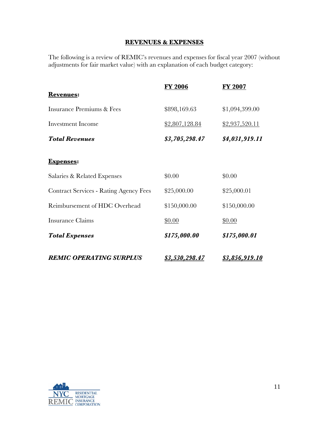# **REVENUES & EXPENSES**

The following is a review of REMIC's revenues and expenses for fiscal year 2007 (without adjustments for fair market value) with an explanation of each budget category:

|                                               | <b>FY 2006</b>        | <b>FY 2007</b>        |
|-----------------------------------------------|-----------------------|-----------------------|
| <b>Revenues:</b>                              |                       |                       |
| <b>Insurance Premiums &amp; Fees</b>          | \$898,169.63          | \$1,094,399.00        |
| <b>Investment Income</b>                      | \$2,807,128.84        | \$2,937,520.11        |
| <b>Total Revenues</b>                         | \$3,705,298.47        | \$4,031,919.11        |
| <b>Expenses:</b>                              |                       |                       |
| Salaries & Related Expenses                   | \$0.00                | \$0.00                |
| <b>Contract Services - Rating Agency Fees</b> | \$25,000.00           | \$25,000.01           |
| Reimbursement of HDC Overhead                 | \$150,000.00          | \$150,000.00          |
| <b>Insurance Claims</b>                       | \$0.00                | \$0.00                |
| <b>Total Expenses</b>                         | \$175,000.00          | \$175,000.01          |
| <b>REMIC OPERATING SURPLUS</b>                | <u>\$3,530,298.47</u> | <u>\$3,856,919.10</u> |